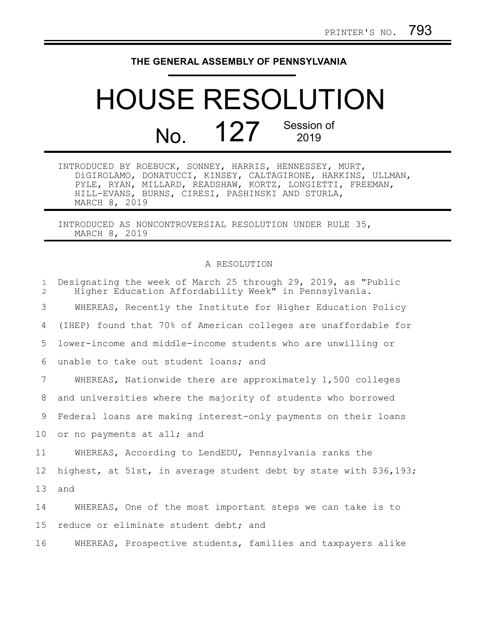## **THE GENERAL ASSEMBLY OF PENNSYLVANIA**

## HOUSE RESOLUTION No. 127 Session of

| INTRODUCED BY ROEBUCK, SONNEY, HARRIS, HENNESSEY, MURT, |  |                                                  |  |                                                              |
|---------------------------------------------------------|--|--------------------------------------------------|--|--------------------------------------------------------------|
|                                                         |  |                                                  |  | DiGIROLAMO, DONATUCCI, KINSEY, CALTAGIRONE, HARKINS, ULLMAN, |
|                                                         |  |                                                  |  | PYLE, RYAN, MILLARD, READSHAW, KORTZ, LONGIETTI, FREEMAN,    |
|                                                         |  | HILL-EVANS, BURNS, CIRESI, PASHINSKI AND STURLA, |  |                                                              |
| MARCH 8, 2019                                           |  |                                                  |  |                                                              |

INTRODUCED AS NONCONTROVERSIAL RESOLUTION UNDER RULE 35, MARCH 8, 2019

## A RESOLUTION

| $\mathbf{1}$<br>$\overline{2}$ | Designating the week of March 25 through 29, 2019, as "Public<br>Higher Education Affordability Week" in Pennsylvania. |
|--------------------------------|------------------------------------------------------------------------------------------------------------------------|
| 3                              | WHEREAS, Recently the Institute for Higher Education Policy                                                            |
| 4                              | (IHEP) found that 70% of American colleges are unaffordable for                                                        |
| 5                              | lower-income and middle-income students who are unwilling or                                                           |
| 6                              | unable to take out student loans; and                                                                                  |
| 7                              | WHEREAS, Nationwide there are approximately 1,500 colleges                                                             |
| 8                              | and universities where the majority of students who borrowed                                                           |
| 9                              | Federal loans are making interest-only payments on their loans                                                         |
| 10                             | or no payments at all; and                                                                                             |
| 11                             | WHEREAS, According to LendEDU, Pennsylvania ranks the                                                                  |
| 12 <sup>°</sup>                | highest, at 51st, in average student debt by state with \$36,193;                                                      |
| 13                             | and                                                                                                                    |
| 14                             | WHEREAS, One of the most important steps we can take is to                                                             |
| 15                             | reduce or eliminate student debt; and                                                                                  |
| 16                             | WHEREAS, Prospective students, families and taxpayers alike                                                            |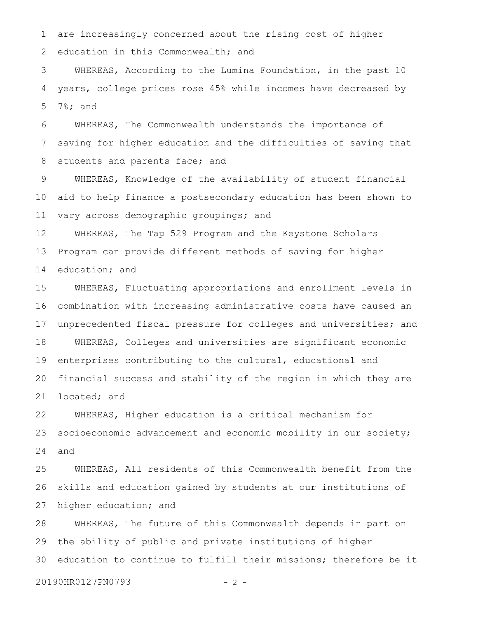are increasingly concerned about the rising cost of higher education in this Commonwealth; and 1 2

WHEREAS, According to the Lumina Foundation, in the past 10 years, college prices rose 45% while incomes have decreased by 7%; and 3 4 5

WHEREAS, The Commonwealth understands the importance of saving for higher education and the difficulties of saving that students and parents face; and 6 7 8

WHEREAS, Knowledge of the availability of student financial aid to help finance a postsecondary education has been shown to vary across demographic groupings; and 9 10 11

WHEREAS, The Tap 529 Program and the Keystone Scholars Program can provide different methods of saving for higher education; and 12 13 14

WHEREAS, Fluctuating appropriations and enrollment levels in combination with increasing administrative costs have caused an unprecedented fiscal pressure for colleges and universities; and WHEREAS, Colleges and universities are significant economic enterprises contributing to the cultural, educational and financial success and stability of the region in which they are located; and 15 16 17 18 19 20 21

WHEREAS, Higher education is a critical mechanism for socioeconomic advancement and economic mobility in our society; and 22 23 24

WHEREAS, All residents of this Commonwealth benefit from the skills and education gained by students at our institutions of higher education; and 25 26 27

WHEREAS, The future of this Commonwealth depends in part on the ability of public and private institutions of higher education to continue to fulfill their missions; therefore be it 28 29 30

20190HR0127PN0793 - 2 -